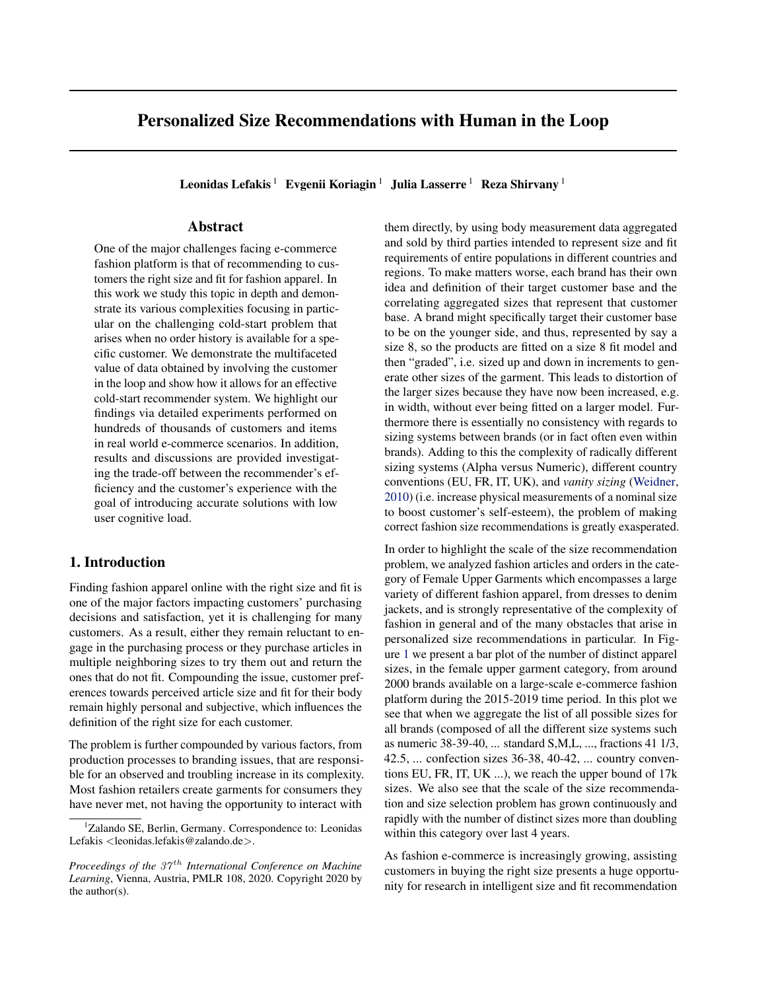# Personalized Size Recommendations with Human in the Loop

Leonidas Lefakis<sup>1</sup> Evgenii Koriagin<sup>1</sup> Julia Lasserre<sup>1</sup> Reza Shirvany<sup>1</sup>

# Abstract

One of the major challenges facing e-commerce fashion platform is that of recommending to customers the right size and fit for fashion apparel. In this work we study this topic in depth and demonstrate its various complexities focusing in particular on the challenging cold-start problem that arises when no order history is available for a specific customer. We demonstrate the multifaceted value of data obtained by involving the customer in the loop and show how it allows for an effective cold-start recommender system. We highlight our findings via detailed experiments performed on hundreds of thousands of customers and items in real world e-commerce scenarios. In addition, results and discussions are provided investigating the trade-off between the recommender's efficiency and the customer's experience with the goal of introducing accurate solutions with low user cognitive load.

# 1. Introduction

Finding fashion apparel online with the right size and fit is one of the major factors impacting customers' purchasing decisions and satisfaction, yet it is challenging for many customers. As a result, either they remain reluctant to engage in the purchasing process or they purchase articles in multiple neighboring sizes to try them out and return the ones that do not fit. Compounding the issue, customer preferences towards perceived article size and fit for their body remain highly personal and subjective, which influences the definition of the right size for each customer.

The problem is further compounded by various factors, from production processes to branding issues, that are responsible for an observed and troubling increase in its complexity. Most fashion retailers create garments for consumers they have never met, not having the opportunity to interact with

them directly, by using body measurement data aggregated and sold by third parties intended to represent size and fit requirements of entire populations in different countries and regions. To make matters worse, each brand has their own idea and definition of their target customer base and the correlating aggregated sizes that represent that customer base. A brand might specifically target their customer base to be on the younger side, and thus, represented by say a size 8, so the products are fitted on a size 8 fit model and then "graded", i.e. sized up and down in increments to generate other sizes of the garment. This leads to distortion of the larger sizes because they have now been increased, e.g. in width, without ever being fitted on a larger model. Furthermore there is essentially no consistency with regards to sizing systems between brands (or in fact often even within brands). Adding to this the complexity of radically different sizing systems (Alpha versus Numeric), different country conventions (EU, FR, IT, UK), and *vanity sizing* [\(Weidner,](#page-8-0) [2010\)](#page-8-0) (i.e. increase physical measurements of a nominal size to boost customer's self-esteem), the problem of making correct fashion size recommendations is greatly exasperated.

In order to highlight the scale of the size recommendation problem, we analyzed fashion articles and orders in the category of Female Upper Garments which encompasses a large variety of different fashion apparel, from dresses to denim jackets, and is strongly representative of the complexity of fashion in general and of the many obstacles that arise in personalized size recommendations in particular. In Figure [1](#page-1-0) we present a bar plot of the number of distinct apparel sizes, in the female upper garment category, from around 2000 brands available on a large-scale e-commerce fashion platform during the 2015-2019 time period. In this plot we see that when we aggregate the list of all possible sizes for all brands (composed of all the different size systems such as numeric 38-39-40, ... standard S,M,L, ..., fractions 41 1/3, 42.5, ... confection sizes 36-38, 40-42, ... country conventions EU, FR, IT, UK ...), we reach the upper bound of 17k sizes. We also see that the scale of the size recommendation and size selection problem has grown continuously and rapidly with the number of distinct sizes more than doubling within this category over last 4 years.

As fashion e-commerce is increasingly growing, assisting customers in buying the right size presents a huge opportunity for research in intelligent size and fit recommendation

<sup>&</sup>lt;sup>1</sup>Zalando SE, Berlin, Germany. Correspondence to: Leonidas Lefakis <leonidas.lefakis@zalando.de>.

*Proceedings of the 37<sup>th</sup> International Conference on Machine Learning*, Vienna, Austria, PMLR 108, 2020. Copyright 2020 by the author(s).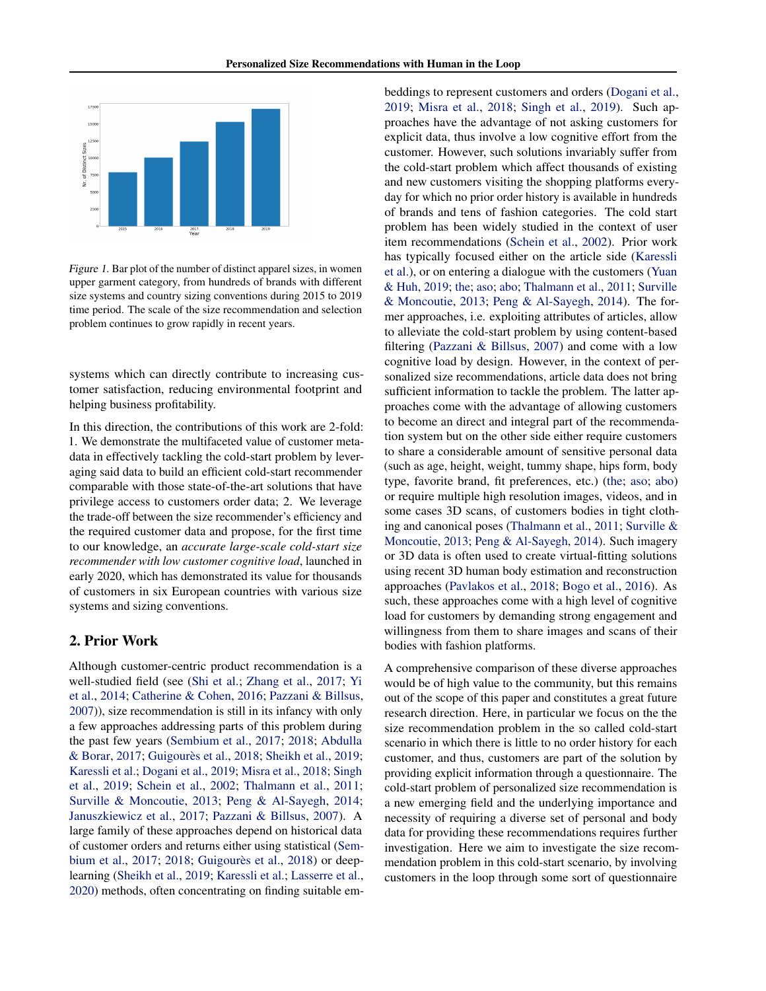<span id="page-1-0"></span>

Figure 1. Bar plot of the number of distinct apparel sizes, in women upper garment category, from hundreds of brands with different size systems and country sizing conventions during 2015 to 2019 time period. The scale of the size recommendation and selection problem continues to grow rapidly in recent years.

systems which can directly contribute to increasing customer satisfaction, reducing environmental footprint and helping business profitability.

In this direction, the contributions of this work are 2-fold: 1. We demonstrate the multifaceted value of customer metadata in effectively tackling the cold-start problem by leveraging said data to build an efficient cold-start recommender comparable with those state-of-the-art solutions that have privilege access to customers order data; 2. We leverage the trade-off between the size recommender's efficiency and the required customer data and propose, for the first time to our knowledge, an *accurate large-scale cold-start size recommender with low customer cognitive load*, launched in early 2020, which has demonstrated its value for thousands of customers in six European countries with various size systems and sizing conventions.

# 2. Prior Work

Although customer-centric product recommendation is a well-studied field (see [\(Shi et al.;](#page-7-0) [Zhang et al.,](#page-8-0) [2017;](#page-8-0) [Yi](#page-8-0) [et al.,](#page-8-0) [2014;](#page-8-0) [Catherine & Cohen,](#page-6-0) [2016;](#page-6-0) [Pazzani & Billsus,](#page-7-0) [2007\)](#page-7-0)), size recommendation is still in its infancy with only a few approaches addressing parts of this problem during the past few years [\(Sembium et al.,](#page-7-0) [2017;](#page-7-0) [2018;](#page-7-0) [Abdulla](#page-6-0) [& Borar,](#page-6-0) [2017;](#page-6-0) Guigourès et al., [2018;](#page-6-0) [Sheikh et al.,](#page-7-0) [2019;](#page-7-0) [Karessli et al.;](#page-6-0) [Dogani et al.,](#page-6-0) [2019;](#page-6-0) [Misra et al.,](#page-7-0) [2018;](#page-7-0) [Singh](#page-7-0) [et al.,](#page-7-0) [2019;](#page-7-0) [Schein et al.,](#page-7-0) [2002;](#page-7-0) [Thalmann et al.,](#page-8-0) [2011;](#page-8-0) [Surville & Moncoutie,](#page-7-0) [2013;](#page-7-0) [Peng & Al-Sayegh,](#page-7-0) [2014;](#page-7-0) [Januszkiewicz et al.,](#page-6-0) [2017;](#page-6-0) [Pazzani & Billsus,](#page-7-0) [2007\)](#page-7-0). A large family of these approaches depend on historical data of customer orders and returns either using statistical [\(Sem](#page-7-0)[bium et al.,](#page-7-0) [2017;](#page-7-0) [2018;](#page-7-0) Guigourès et al., [2018\)](#page-6-0) or deeplearning [\(Sheikh et al.,](#page-7-0) [2019;](#page-7-0) [Karessli et al.;](#page-6-0) [Lasserre et al.,](#page-6-0) [2020\)](#page-6-0) methods, often concentrating on finding suitable embeddings to represent customers and orders [\(Dogani et al.,](#page-6-0) [2019;](#page-6-0) [Misra et al.,](#page-7-0) [2018;](#page-7-0) [Singh et al.,](#page-7-0) [2019\)](#page-7-0). Such approaches have the advantage of not asking customers for explicit data, thus involve a low cognitive effort from the customer. However, such solutions invariably suffer from the cold-start problem which affect thousands of existing and new customers visiting the shopping platforms everyday for which no prior order history is available in hundreds of brands and tens of fashion categories. The cold start problem has been widely studied in the context of user item recommendations [\(Schein et al.,](#page-7-0) [2002\)](#page-7-0). Prior work has typically focused either on the article side [\(Karessli](#page-6-0) [et al.\)](#page-6-0), or on entering a dialogue with the customers [\(Yuan](#page-8-0) [& Huh,](#page-8-0) [2019;](#page-8-0) [the;](#page-6-0) [aso;](#page-6-0) [abo;](#page-6-0) [Thalmann et al.,](#page-8-0) [2011;](#page-8-0) [Surville](#page-7-0) [& Moncoutie,](#page-7-0) [2013;](#page-7-0) [Peng & Al-Sayegh,](#page-7-0) [2014\)](#page-7-0). The former approaches, i.e. exploiting attributes of articles, allow to alleviate the cold-start problem by using content-based filtering [\(Pazzani & Billsus,](#page-7-0) [2007\)](#page-7-0) and come with a low cognitive load by design. However, in the context of personalized size recommendations, article data does not bring sufficient information to tackle the problem. The latter approaches come with the advantage of allowing customers to become an direct and integral part of the recommendation system but on the other side either require customers to share a considerable amount of sensitive personal data (such as age, height, weight, tummy shape, hips form, body type, favorite brand, fit preferences, etc.) [\(the;](#page-6-0) [aso;](#page-6-0) [abo\)](#page-6-0) or require multiple high resolution images, videos, and in some cases 3D scans, of customers bodies in tight clothing and canonical poses [\(Thalmann et al.,](#page-8-0) [2011;](#page-8-0) [Surville &](#page-7-0) [Moncoutie,](#page-7-0) [2013;](#page-7-0) [Peng & Al-Sayegh,](#page-7-0) [2014\)](#page-7-0). Such imagery or 3D data is often used to create virtual-fitting solutions using recent 3D human body estimation and reconstruction approaches [\(Pavlakos et al.,](#page-7-0) [2018;](#page-7-0) [Bogo et al.,](#page-6-0) [2016\)](#page-6-0). As such, these approaches come with a high level of cognitive load for customers by demanding strong engagement and willingness from them to share images and scans of their bodies with fashion platforms.

A comprehensive comparison of these diverse approaches would be of high value to the community, but this remains out of the scope of this paper and constitutes a great future research direction. Here, in particular we focus on the the size recommendation problem in the so called cold-start scenario in which there is little to no order history for each customer, and thus, customers are part of the solution by providing explicit information through a questionnaire. The cold-start problem of personalized size recommendation is a new emerging field and the underlying importance and necessity of requiring a diverse set of personal and body data for providing these recommendations requires further investigation. Here we aim to investigate the size recommendation problem in this cold-start scenario, by involving customers in the loop through some sort of questionnaire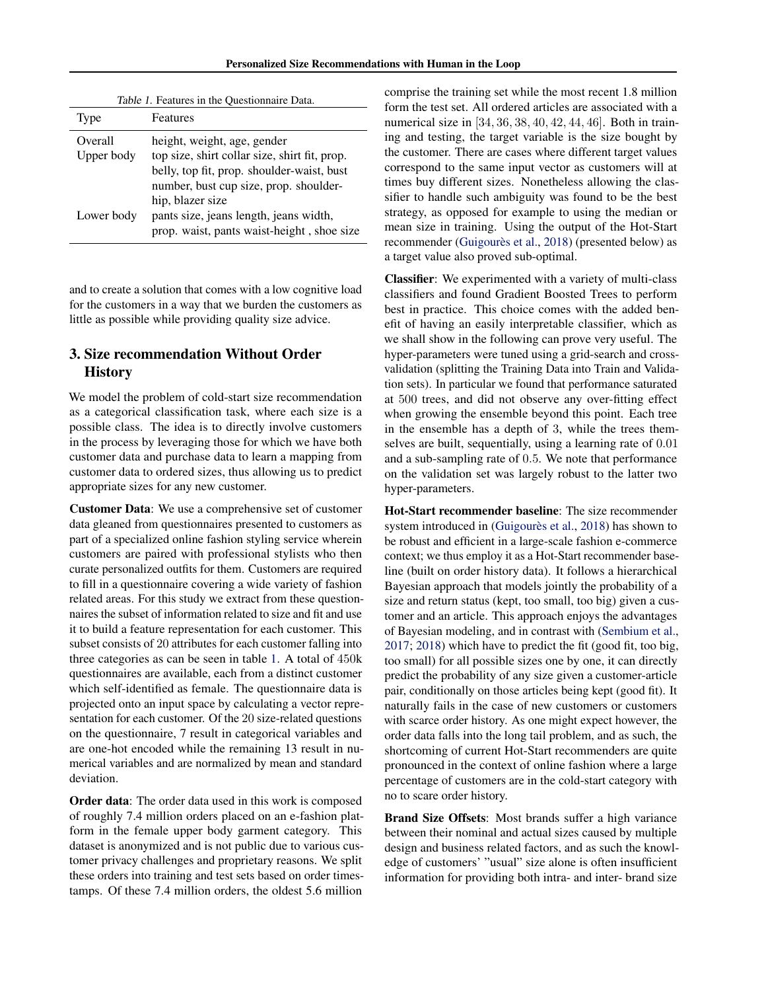Personalized Size Recommendations with Human in the Loop

<span id="page-2-0"></span>

| Table 1. Features in the Questionnaire Data. |                                               |  |  |  |  |
|----------------------------------------------|-----------------------------------------------|--|--|--|--|
| Type                                         | Features                                      |  |  |  |  |
| Overall                                      | height, weight, age, gender                   |  |  |  |  |
| Upper body                                   | top size, shirt collar size, shirt fit, prop. |  |  |  |  |
|                                              | belly, top fit, prop. shoulder-waist, bust    |  |  |  |  |
|                                              | number, bust cup size, prop. shoulder-        |  |  |  |  |
|                                              | hip, blazer size                              |  |  |  |  |
| Lower body                                   | pants size, jeans length, jeans width,        |  |  |  |  |
|                                              | prop. waist, pants waist-height, shoe size    |  |  |  |  |

and to create a solution that comes with a low cognitive load for the customers in a way that we burden the customers as little as possible while providing quality size advice.

# 3. Size recommendation Without Order **History**

We model the problem of cold-start size recommendation as a categorical classification task, where each size is a possible class. The idea is to directly involve customers in the process by leveraging those for which we have both customer data and purchase data to learn a mapping from customer data to ordered sizes, thus allowing us to predict appropriate sizes for any new customer.

Customer Data: We use a comprehensive set of customer data gleaned from questionnaires presented to customers as part of a specialized online fashion styling service wherein customers are paired with professional stylists who then curate personalized outfits for them. Customers are required to fill in a questionnaire covering a wide variety of fashion related areas. For this study we extract from these questionnaires the subset of information related to size and fit and use it to build a feature representation for each customer. This subset consists of 20 attributes for each customer falling into three categories as can be seen in table 1. A total of 450k questionnaires are available, each from a distinct customer which self-identified as female. The questionnaire data is projected onto an input space by calculating a vector representation for each customer. Of the 20 size-related questions on the questionnaire, 7 result in categorical variables and are one-hot encoded while the remaining 13 result in numerical variables and are normalized by mean and standard deviation.

Order data: The order data used in this work is composed of roughly 7.4 million orders placed on an e-fashion platform in the female upper body garment category. This dataset is anonymized and is not public due to various customer privacy challenges and proprietary reasons. We split these orders into training and test sets based on order timestamps. Of these 7.4 million orders, the oldest 5.6 million

comprise the training set while the most recent 1.8 million form the test set. All ordered articles are associated with a numerical size in [34, 36, 38, 40, 42, 44, 46]. Both in training and testing, the target variable is the size bought by the customer. There are cases where different target values correspond to the same input vector as customers will at times buy different sizes. Nonetheless allowing the classifier to handle such ambiguity was found to be the best strategy, as opposed for example to using the median or mean size in training. Using the output of the Hot-Start recommender (Guigourès et al., [2018\)](#page-6-0) (presented below) as a target value also proved sub-optimal.

Classifier: We experimented with a variety of multi-class classifiers and found Gradient Boosted Trees to perform best in practice. This choice comes with the added benefit of having an easily interpretable classifier, which as we shall show in the following can prove very useful. The hyper-parameters were tuned using a grid-search and crossvalidation (splitting the Training Data into Train and Validation sets). In particular we found that performance saturated at 500 trees, and did not observe any over-fitting effect when growing the ensemble beyond this point. Each tree in the ensemble has a depth of 3, while the trees themselves are built, sequentially, using a learning rate of 0.01 and a sub-sampling rate of 0.5. We note that performance on the validation set was largely robust to the latter two hyper-parameters.

Hot-Start recommender baseline: The size recommender system introduced in (Guigourès et al., [2018\)](#page-6-0) has shown to be robust and efficient in a large-scale fashion e-commerce context; we thus employ it as a Hot-Start recommender baseline (built on order history data). It follows a hierarchical Bayesian approach that models jointly the probability of a size and return status (kept, too small, too big) given a customer and an article. This approach enjoys the advantages of Bayesian modeling, and in contrast with [\(Sembium et al.,](#page-7-0) [2017;](#page-7-0) [2018\)](#page-7-0) which have to predict the fit (good fit, too big, too small) for all possible sizes one by one, it can directly predict the probability of any size given a customer-article pair, conditionally on those articles being kept (good fit). It naturally fails in the case of new customers or customers with scarce order history. As one might expect however, the order data falls into the long tail problem, and as such, the shortcoming of current Hot-Start recommenders are quite pronounced in the context of online fashion where a large percentage of customers are in the cold-start category with no to scare order history.

Brand Size Offsets: Most brands suffer a high variance between their nominal and actual sizes caused by multiple design and business related factors, and as such the knowledge of customers' "usual" size alone is often insufficient information for providing both intra- and inter- brand size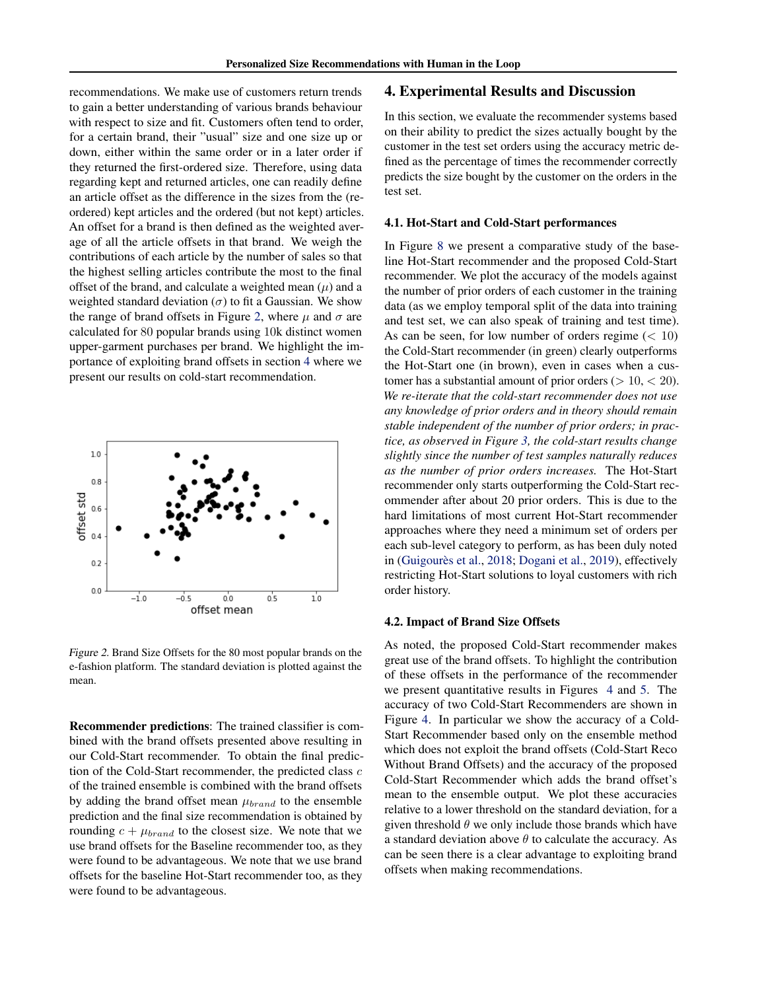recommendations. We make use of customers return trends to gain a better understanding of various brands behaviour with respect to size and fit. Customers often tend to order, for a certain brand, their "usual" size and one size up or down, either within the same order or in a later order if they returned the first-ordered size. Therefore, using data regarding kept and returned articles, one can readily define an article offset as the difference in the sizes from the (reordered) kept articles and the ordered (but not kept) articles. An offset for a brand is then defined as the weighted average of all the article offsets in that brand. We weigh the contributions of each article by the number of sales so that the highest selling articles contribute the most to the final offset of the brand, and calculate a weighted mean  $(\mu)$  and a weighted standard deviation  $(\sigma)$  to fit a Gaussian. We show the range of brand offsets in Figure 2, where  $\mu$  and  $\sigma$  are calculated for 80 popular brands using 10k distinct women upper-garment purchases per brand. We highlight the importance of exploiting brand offsets in section 4 where we present our results on cold-start recommendation.



Figure 2. Brand Size Offsets for the 80 most popular brands on the e-fashion platform. The standard deviation is plotted against the mean.

Recommender predictions: The trained classifier is combined with the brand offsets presented above resulting in our Cold-Start recommender. To obtain the final prediction of the Cold-Start recommender, the predicted class  $c$ of the trained ensemble is combined with the brand offsets by adding the brand offset mean  $\mu_{brand}$  to the ensemble prediction and the final size recommendation is obtained by rounding  $c + \mu_{brand}$  to the closest size. We note that we use brand offsets for the Baseline recommender too, as they were found to be advantageous. We note that we use brand offsets for the baseline Hot-Start recommender too, as they were found to be advantageous.

### 4. Experimental Results and Discussion

In this section, we evaluate the recommender systems based on their ability to predict the sizes actually bought by the customer in the test set orders using the accuracy metric defined as the percentage of times the recommender correctly predicts the size bought by the customer on the orders in the test set.

#### 4.1. Hot-Start and Cold-Start performances

In Figure [8](#page-7-0) we present a comparative study of the baseline Hot-Start recommender and the proposed Cold-Start recommender. We plot the accuracy of the models against the number of prior orders of each customer in the training data (as we employ temporal split of the data into training and test set, we can also speak of training and test time). As can be seen, for low number of orders regime  $(< 10$ ) the Cold-Start recommender (in green) clearly outperforms the Hot-Start one (in brown), even in cases when a customer has a substantial amount of prior orders ( $> 10, < 20$ ). *We re-iterate that the cold-start recommender does not use any knowledge of prior orders and in theory should remain stable independent of the number of prior orders; in practice, as observed in Figure [3,](#page-4-0) the cold-start results change slightly since the number of test samples naturally reduces as the number of prior orders increases.* The Hot-Start recommender only starts outperforming the Cold-Start recommender after about 20 prior orders. This is due to the hard limitations of most current Hot-Start recommender approaches where they need a minimum set of orders per each sub-level category to perform, as has been duly noted in (Guigourès et al., [2018;](#page-6-0) [Dogani et al.,](#page-6-0) [2019\)](#page-6-0), effectively restricting Hot-Start solutions to loyal customers with rich order history.

#### 4.2. Impact of Brand Size Offsets

As noted, the proposed Cold-Start recommender makes great use of the brand offsets. To highlight the contribution of these offsets in the performance of the recommender we present quantitative results in Figures [4](#page-4-0) and [5.](#page-4-0) The accuracy of two Cold-Start Recommenders are shown in Figure [4.](#page-4-0) In particular we show the accuracy of a Cold-Start Recommender based only on the ensemble method which does not exploit the brand offsets (Cold-Start Reco Without Brand Offsets) and the accuracy of the proposed Cold-Start Recommender which adds the brand offset's mean to the ensemble output. We plot these accuracies relative to a lower threshold on the standard deviation, for a given threshold  $\theta$  we only include those brands which have a standard deviation above  $\theta$  to calculate the accuracy. As can be seen there is a clear advantage to exploiting brand offsets when making recommendations.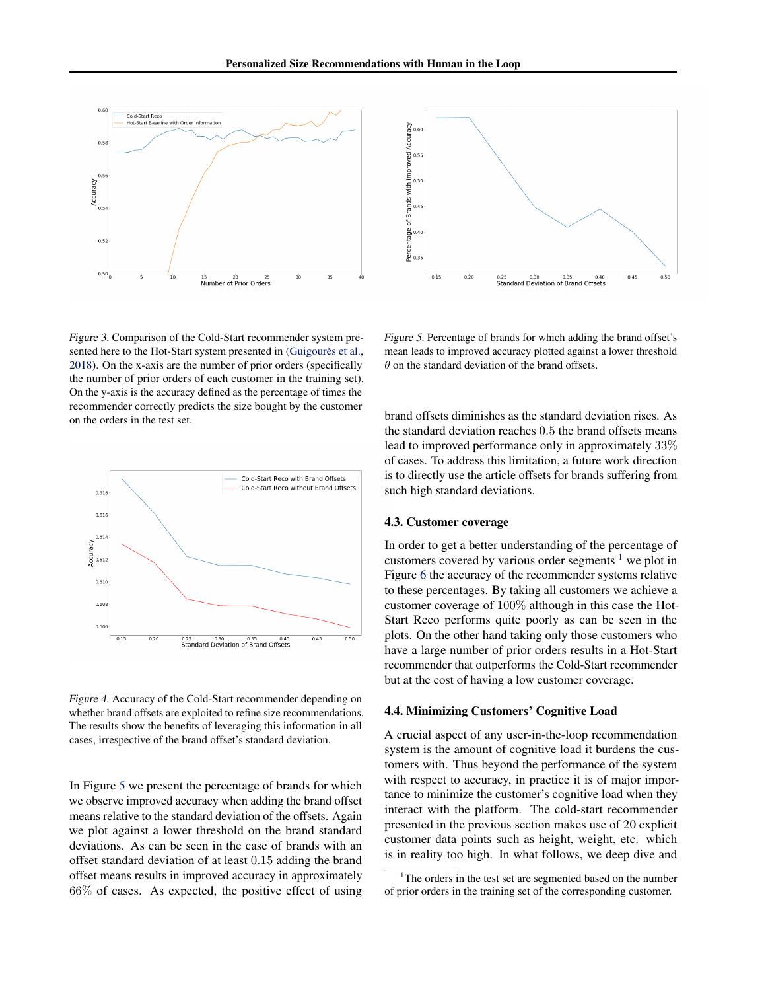<span id="page-4-0"></span>

Figure 3. Comparison of the Cold-Start recommender system presented here to the Hot-Start system presented in (Guigourès et al., [2018\)](#page-6-0). On the x-axis are the number of prior orders (specifically the number of prior orders of each customer in the training set). On the y-axis is the accuracy defined as the percentage of times the recommender correctly predicts the size bought by the customer on the orders in the test set.



Figure 4. Accuracy of the Cold-Start recommender depending on whether brand offsets are exploited to refine size recommendations. The results show the benefits of leveraging this information in all cases, irrespective of the brand offset's standard deviation.

In Figure 5 we present the percentage of brands for which we observe improved accuracy when adding the brand offset means relative to the standard deviation of the offsets. Again we plot against a lower threshold on the brand standard deviations. As can be seen in the case of brands with an offset standard deviation of at least 0.15 adding the brand offset means results in improved accuracy in approximately 66% of cases. As expected, the positive effect of using



Figure 5. Percentage of brands for which adding the brand offset's mean leads to improved accuracy plotted against a lower threshold  $\theta$  on the standard deviation of the brand offsets.

brand offsets diminishes as the standard deviation rises. As the standard deviation reaches 0.5 the brand offsets means lead to improved performance only in approximately 33% of cases. To address this limitation, a future work direction is to directly use the article offsets for brands suffering from such high standard deviations.

#### 4.3. Customer coverage

In order to get a better understanding of the percentage of customers covered by various order segments  $\frac{1}{1}$  we plot in Figure [6](#page-5-0) the accuracy of the recommender systems relative to these percentages. By taking all customers we achieve a customer coverage of 100% although in this case the Hot-Start Reco performs quite poorly as can be seen in the plots. On the other hand taking only those customers who have a large number of prior orders results in a Hot-Start recommender that outperforms the Cold-Start recommender but at the cost of having a low customer coverage.

#### 4.4. Minimizing Customers' Cognitive Load

A crucial aspect of any user-in-the-loop recommendation system is the amount of cognitive load it burdens the customers with. Thus beyond the performance of the system with respect to accuracy, in practice it is of major importance to minimize the customer's cognitive load when they interact with the platform. The cold-start recommender presented in the previous section makes use of 20 explicit customer data points such as height, weight, etc. which is in reality too high. In what follows, we deep dive and

<sup>&</sup>lt;sup>1</sup>The orders in the test set are segmented based on the number of prior orders in the training set of the corresponding customer.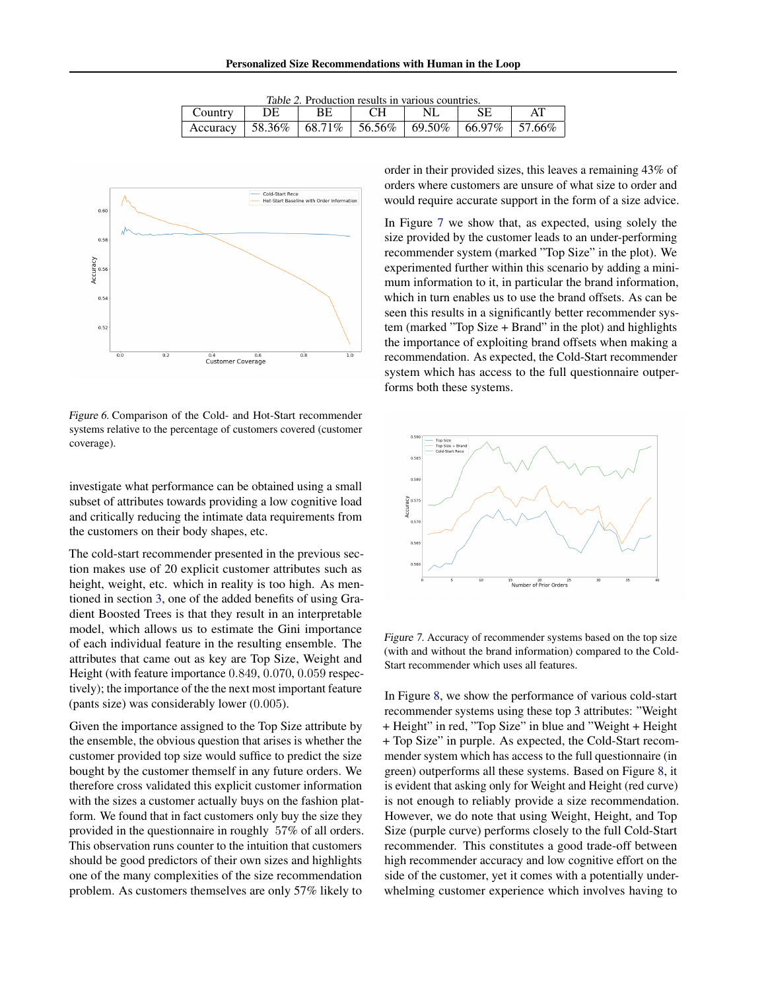| <i>Table 2.</i> Production results in various countries.       |     |     |           |     |  |  |  |  |
|----------------------------------------------------------------|-----|-----|-----------|-----|--|--|--|--|
| Country                                                        | DE. | BE. | <b>CH</b> | NL. |  |  |  |  |
| Accuracy   58.36%   68.71%   56.56%   69.50%   66.97%   57.66% |     |     |           |     |  |  |  |  |

<span id="page-5-0"></span>

Figure 6. Comparison of the Cold- and Hot-Start recommender systems relative to the percentage of customers covered (customer coverage).

investigate what performance can be obtained using a small subset of attributes towards providing a low cognitive load and critically reducing the intimate data requirements from the customers on their body shapes, etc.

The cold-start recommender presented in the previous section makes use of 20 explicit customer attributes such as height, weight, etc. which in reality is too high. As mentioned in section [3,](#page-2-0) one of the added benefits of using Gradient Boosted Trees is that they result in an interpretable model, which allows us to estimate the Gini importance of each individual feature in the resulting ensemble. The attributes that came out as key are Top Size, Weight and Height (with feature importance 0.849, 0.070, 0.059 respectively); the importance of the the next most important feature (pants size) was considerably lower (0.005).

Given the importance assigned to the Top Size attribute by the ensemble, the obvious question that arises is whether the customer provided top size would suffice to predict the size bought by the customer themself in any future orders. We therefore cross validated this explicit customer information with the sizes a customer actually buys on the fashion platform. We found that in fact customers only buy the size they provided in the questionnaire in roughly 57% of all orders. This observation runs counter to the intuition that customers should be good predictors of their own sizes and highlights one of the many complexities of the size recommendation problem. As customers themselves are only 57% likely to

order in their provided sizes, this leaves a remaining 43% of orders where customers are unsure of what size to order and would require accurate support in the form of a size advice.

In Figure 7 we show that, as expected, using solely the size provided by the customer leads to an under-performing recommender system (marked "Top Size" in the plot). We experimented further within this scenario by adding a minimum information to it, in particular the brand information, which in turn enables us to use the brand offsets. As can be seen this results in a significantly better recommender system (marked "Top Size + Brand" in the plot) and highlights the importance of exploiting brand offsets when making a recommendation. As expected, the Cold-Start recommender system which has access to the full questionnaire outperforms both these systems.



Figure 7. Accuracy of recommender systems based on the top size (with and without the brand information) compared to the Cold-Start recommender which uses all features.

In Figure [8,](#page-7-0) we show the performance of various cold-start recommender systems using these top 3 attributes: "Weight + Height" in red, "Top Size" in blue and "Weight + Height + Top Size" in purple. As expected, the Cold-Start recommender system which has access to the full questionnaire (in green) outperforms all these systems. Based on Figure [8,](#page-7-0) it is evident that asking only for Weight and Height (red curve) is not enough to reliably provide a size recommendation. However, we do note that using Weight, Height, and Top Size (purple curve) performs closely to the full Cold-Start recommender. This constitutes a good trade-off between high recommender accuracy and low cognitive effort on the side of the customer, yet it comes with a potentially underwhelming customer experience which involves having to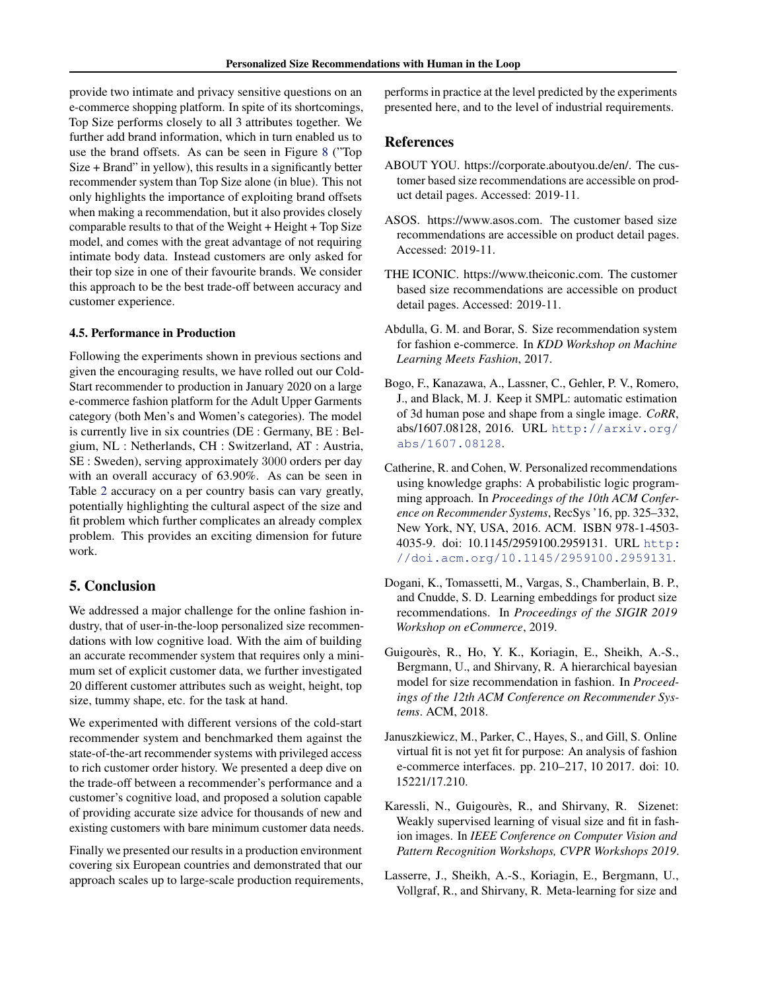<span id="page-6-0"></span>provide two intimate and privacy sensitive questions on an e-commerce shopping platform. In spite of its shortcomings, Top Size performs closely to all 3 attributes together. We further add brand information, which in turn enabled us to use the brand offsets. As can be seen in Figure [8](#page-7-0) ("Top Size + Brand" in yellow), this results in a significantly better recommender system than Top Size alone (in blue). This not only highlights the importance of exploiting brand offsets when making a recommendation, but it also provides closely comparable results to that of the Weight + Height + Top Size model, and comes with the great advantage of not requiring intimate body data. Instead customers are only asked for their top size in one of their favourite brands. We consider this approach to be the best trade-off between accuracy and customer experience.

#### 4.5. Performance in Production

Following the experiments shown in previous sections and given the encouraging results, we have rolled out our Cold-Start recommender to production in January 2020 on a large e-commerce fashion platform for the Adult Upper Garments category (both Men's and Women's categories). The model is currently live in six countries (DE : Germany, BE : Belgium, NL : Netherlands, CH : Switzerland, AT : Austria, SE : Sweden), serving approximately 3000 orders per day with an overall accuracy of 63.90%. As can be seen in Table [2](#page-5-0) accuracy on a per country basis can vary greatly, potentially highlighting the cultural aspect of the size and fit problem which further complicates an already complex problem. This provides an exciting dimension for future work.

## 5. Conclusion

We addressed a major challenge for the online fashion industry, that of user-in-the-loop personalized size recommendations with low cognitive load. With the aim of building an accurate recommender system that requires only a minimum set of explicit customer data, we further investigated 20 different customer attributes such as weight, height, top size, tummy shape, etc. for the task at hand.

We experimented with different versions of the cold-start recommender system and benchmarked them against the state-of-the-art recommender systems with privileged access to rich customer order history. We presented a deep dive on the trade-off between a recommender's performance and a customer's cognitive load, and proposed a solution capable of providing accurate size advice for thousands of new and existing customers with bare minimum customer data needs.

Finally we presented our results in a production environment covering six European countries and demonstrated that our approach scales up to large-scale production requirements, performs in practice at the level predicted by the experiments presented here, and to the level of industrial requirements.

# References

- ABOUT YOU. https://corporate.aboutyou.de/en/. The customer based size recommendations are accessible on product detail pages. Accessed: 2019-11.
- ASOS. https://www.asos.com. The customer based size recommendations are accessible on product detail pages. Accessed: 2019-11.
- THE ICONIC. https://www.theiconic.com. The customer based size recommendations are accessible on product detail pages. Accessed: 2019-11.
- Abdulla, G. M. and Borar, S. Size recommendation system for fashion e-commerce. In *KDD Workshop on Machine Learning Meets Fashion*, 2017.
- Bogo, F., Kanazawa, A., Lassner, C., Gehler, P. V., Romero, J., and Black, M. J. Keep it SMPL: automatic estimation of 3d human pose and shape from a single image. *CoRR*, abs/1607.08128, 2016. URL [http://arxiv.org/](http://arxiv.org/abs/1607.08128) [abs/1607.08128](http://arxiv.org/abs/1607.08128).
- Catherine, R. and Cohen, W. Personalized recommendations using knowledge graphs: A probabilistic logic programming approach. In *Proceedings of the 10th ACM Conference on Recommender Systems*, RecSys '16, pp. 325–332, New York, NY, USA, 2016. ACM. ISBN 978-1-4503- 4035-9. doi: 10.1145/2959100.2959131. URL [http:](http://doi.acm.org/10.1145/2959100.2959131) [//doi.acm.org/10.1145/2959100.2959131](http://doi.acm.org/10.1145/2959100.2959131).
- Dogani, K., Tomassetti, M., Vargas, S., Chamberlain, B. P., and Cnudde, S. D. Learning embeddings for product size recommendations. In *Proceedings of the SIGIR 2019 Workshop on eCommerce*, 2019.
- Guigourès, R., Ho, Y. K., Koriagin, E., Sheikh, A.-S., Bergmann, U., and Shirvany, R. A hierarchical bayesian model for size recommendation in fashion. In *Proceedings of the 12th ACM Conference on Recommender Systems*. ACM, 2018.
- Januszkiewicz, M., Parker, C., Hayes, S., and Gill, S. Online virtual fit is not yet fit for purpose: An analysis of fashion e-commerce interfaces. pp. 210–217, 10 2017. doi: 10. 15221/17.210.
- Karessli, N., Guigourès, R., and Shirvany, R. Sizenet: Weakly supervised learning of visual size and fit in fashion images. In *IEEE Conference on Computer Vision and Pattern Recognition Workshops, CVPR Workshops 2019*.
- Lasserre, J., Sheikh, A.-S., Koriagin, E., Bergmann, U., Vollgraf, R., and Shirvany, R. Meta-learning for size and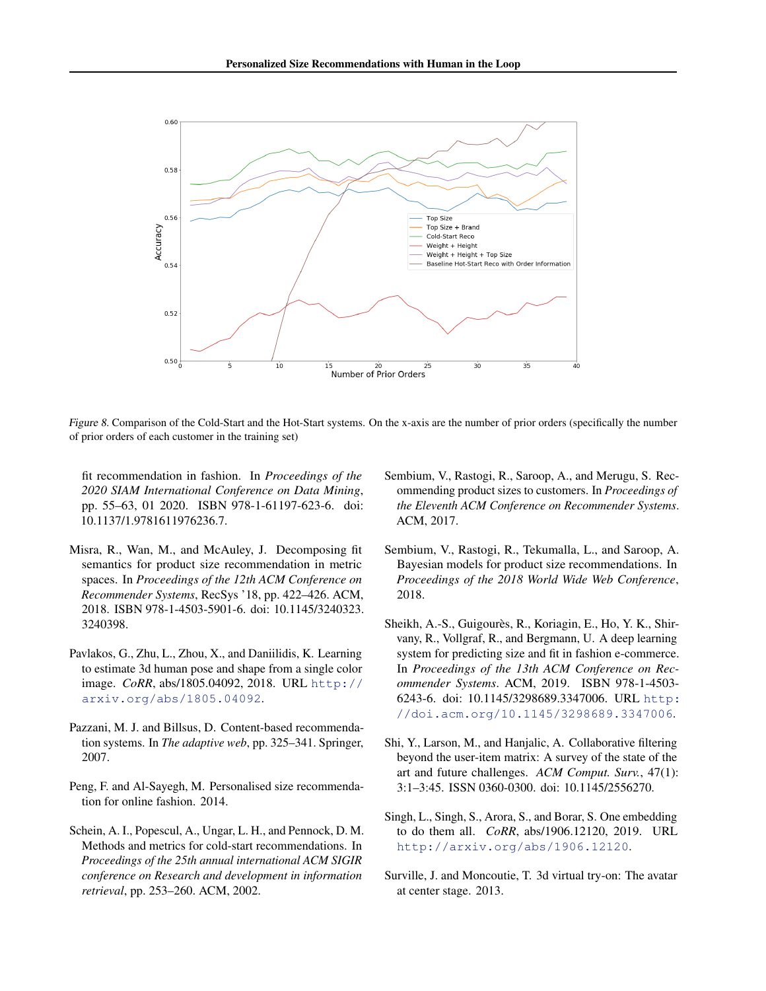<span id="page-7-0"></span>

Figure 8. Comparison of the Cold-Start and the Hot-Start systems. On the x-axis are the number of prior orders (specifically the number of prior orders of each customer in the training set)

fit recommendation in fashion. In *Proceedings of the 2020 SIAM International Conference on Data Mining*, pp. 55–63, 01 2020. ISBN 978-1-61197-623-6. doi: 10.1137/1.9781611976236.7.

- Misra, R., Wan, M., and McAuley, J. Decomposing fit semantics for product size recommendation in metric spaces. In *Proceedings of the 12th ACM Conference on Recommender Systems*, RecSys '18, pp. 422–426. ACM, 2018. ISBN 978-1-4503-5901-6. doi: 10.1145/3240323. 3240398.
- Pavlakos, G., Zhu, L., Zhou, X., and Daniilidis, K. Learning to estimate 3d human pose and shape from a single color image. *CoRR*, abs/1805.04092, 2018. URL [http://](http://arxiv.org/abs/1805.04092) [arxiv.org/abs/1805.04092](http://arxiv.org/abs/1805.04092).
- Pazzani, M. J. and Billsus, D. Content-based recommendation systems. In *The adaptive web*, pp. 325–341. Springer, 2007.
- Peng, F. and Al-Sayegh, M. Personalised size recommendation for online fashion. 2014.
- Schein, A. I., Popescul, A., Ungar, L. H., and Pennock, D. M. Methods and metrics for cold-start recommendations. In *Proceedings of the 25th annual international ACM SIGIR conference on Research and development in information retrieval*, pp. 253–260. ACM, 2002.
- Sembium, V., Rastogi, R., Saroop, A., and Merugu, S. Recommending product sizes to customers. In *Proceedings of the Eleventh ACM Conference on Recommender Systems*. ACM, 2017.
- Sembium, V., Rastogi, R., Tekumalla, L., and Saroop, A. Bayesian models for product size recommendations. In *Proceedings of the 2018 World Wide Web Conference*, 2018.
- Sheikh, A.-S., Guigourès, R., Koriagin, E., Ho, Y. K., Shirvany, R., Vollgraf, R., and Bergmann, U. A deep learning system for predicting size and fit in fashion e-commerce. In *Proceedings of the 13th ACM Conference on Recommender Systems*. ACM, 2019. ISBN 978-1-4503- 6243-6. doi: 10.1145/3298689.3347006. URL [http:](http://doi.acm.org/10.1145/3298689.3347006) [//doi.acm.org/10.1145/3298689.3347006](http://doi.acm.org/10.1145/3298689.3347006).
- Shi, Y., Larson, M., and Hanjalic, A. Collaborative filtering beyond the user-item matrix: A survey of the state of the art and future challenges. *ACM Comput. Surv.*, 47(1): 3:1–3:45. ISSN 0360-0300. doi: 10.1145/2556270.
- Singh, L., Singh, S., Arora, S., and Borar, S. One embedding to do them all. *CoRR*, abs/1906.12120, 2019. URL <http://arxiv.org/abs/1906.12120>.
- Surville, J. and Moncoutie, T. 3d virtual try-on: The avatar at center stage. 2013.